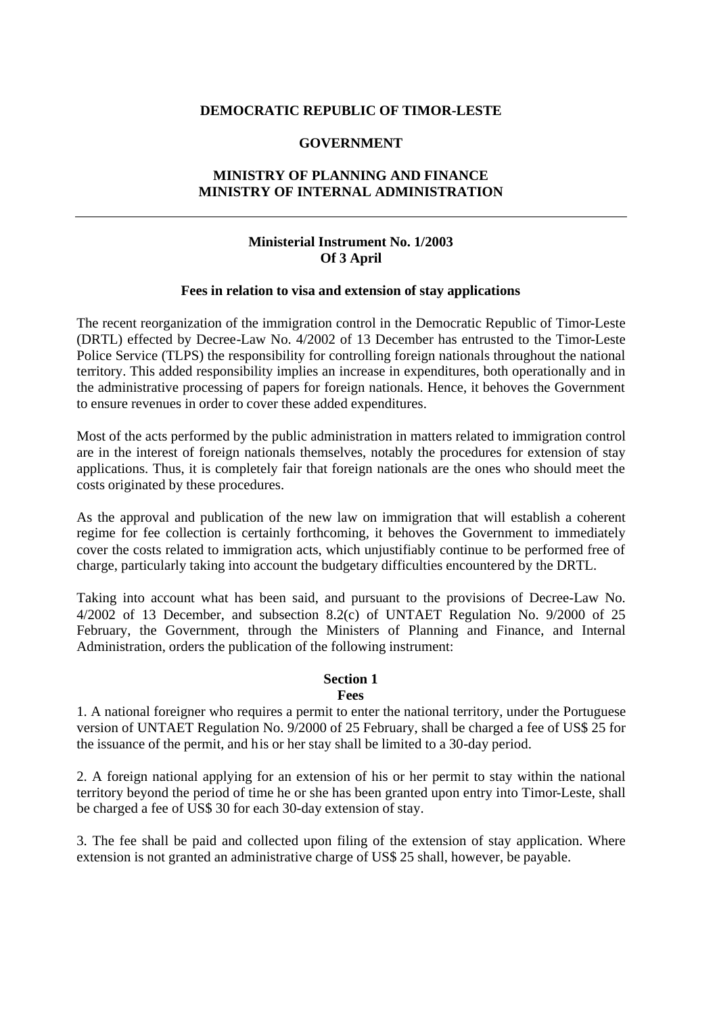### **DEMOCRATIC REPUBLIC OF TIMOR-LESTE**

### **GOVERNMENT**

## **MINISTRY OF PLANNING AND FINANCE MINISTRY OF INTERNAL ADMINISTRATION**

## **Ministerial Instrument No. 1/2003 Of 3 April**

## **Fees in relation to visa and extension of stay applications**

The recent reorganization of the immigration control in the Democratic Republic of Timor-Leste (DRTL) effected by Decree-Law No. 4/2002 of 13 December has entrusted to the Timor-Leste Police Service (TLPS) the responsibility for controlling foreign nationals throughout the national territory. This added responsibility implies an increase in expenditures, both operationally and in the administrative processing of papers for foreign nationals. Hence, it behoves the Government to ensure revenues in order to cover these added expenditures.

Most of the acts performed by the public administration in matters related to immigration control are in the interest of foreign nationals themselves, notably the procedures for extension of stay applications. Thus, it is completely fair that foreign nationals are the ones who should meet the costs originated by these procedures.

As the approval and publication of the new law on immigration that will establish a coherent regime for fee collection is certainly forthcoming, it behoves the Government to immediately cover the costs related to immigration acts, which unjustifiably continue to be performed free of charge, particularly taking into account the budgetary difficulties encountered by the DRTL.

Taking into account what has been said, and pursuant to the provisions of Decree-Law No. 4/2002 of 13 December, and subsection 8.2(c) of UNTAET Regulation No. 9/2000 of 25 February, the Government, through the Ministers of Planning and Finance, and Internal Administration, orders the publication of the following instrument:

### **Section 1**

#### **Fees**

1. A national foreigner who requires a permit to enter the national territory, under the Portuguese version of UNTAET Regulation No. 9/2000 of 25 February, shall be charged a fee of US\$ 25 for the issuance of the permit, and his or her stay shall be limited to a 30-day period.

2. A foreign national applying for an extension of his or her permit to stay within the national territory beyond the period of time he or she has been granted upon entry into Timor-Leste, shall be charged a fee of US\$ 30 for each 30-day extension of stay.

3. The fee shall be paid and collected upon filing of the extension of stay application. Where extension is not granted an administrative charge of US\$ 25 shall, however, be payable.